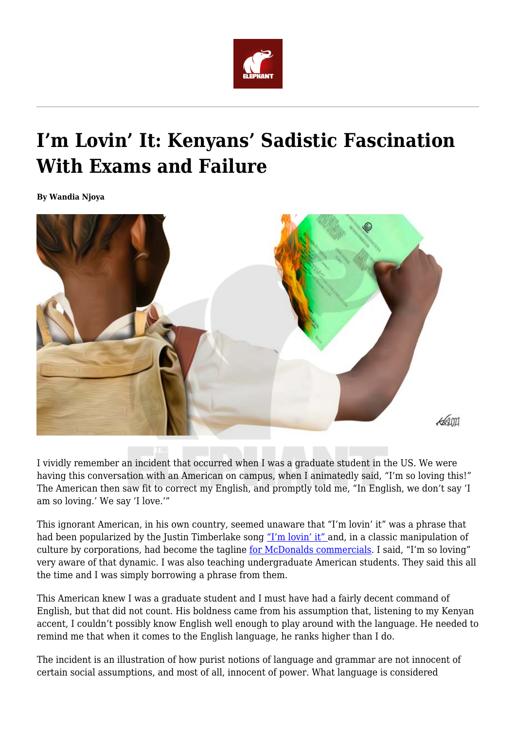

## **I'm Lovin' It: Kenyans' Sadistic Fascination With Exams and Failure**

**By Wandia Njoya**



I vividly remember an incident that occurred when I was a graduate student in the US. We were having this conversation with an American on campus, when I animatedly said, "I'm so loving this!" The American then saw fit to correct my English, and promptly told me, "In English, we don't say 'I am so loving.' We say 'I love.'"

This ignorant American, in his own country, seemed unaware that "I'm lovin' it" was a phrase that had been popularized by the Justin Timberlake song ["I'm lovin' it"](https://youtu.be/-IHcp8Pl_X4) and, in a classic manipulation of culture by corporations, had become the tagline [for McDonalds commercials.](https://youtu.be/GApPXZAvkRI) I said, "I'm so loving" very aware of that dynamic. I was also teaching undergraduate American students. They said this all the time and I was simply borrowing a phrase from them.

This American knew I was a graduate student and I must have had a fairly decent command of English, but that did not count. His boldness came from his assumption that, listening to my Kenyan accent, I couldn't possibly know English well enough to play around with the language. He needed to remind me that when it comes to the English language, he ranks higher than I do.

The incident is an illustration of how purist notions of language and grammar are not innocent of certain social assumptions, and most of all, innocent of power. What language is considered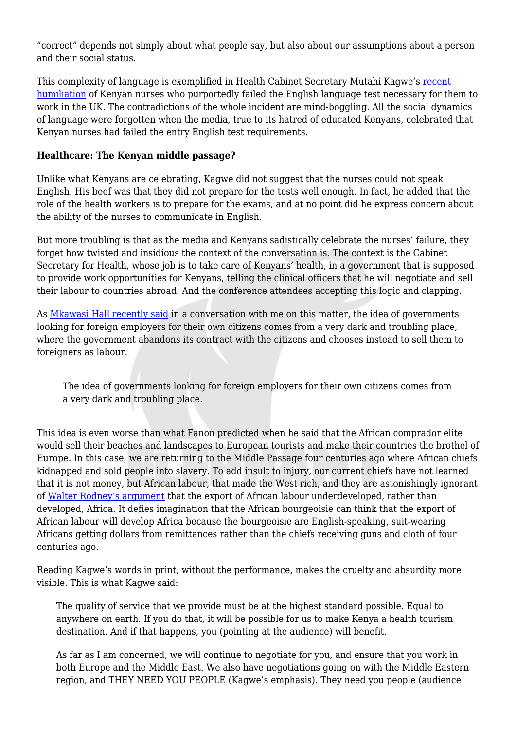"correct" depends not simply about what people say, but also about our assumptions about a person and their social status.

This complexity of language is exemplified in Health Cabinet Secretary Mutahi Kagwe's [recent](https://youtu.be/RFU1tumPFBk) [humiliation](https://youtu.be/RFU1tumPFBk) of Kenyan nurses who purportedly failed the English language test necessary for them to work in the UK. The contradictions of the whole incident are mind-boggling. All the social dynamics of language were forgotten when the media, true to its hatred of educated Kenyans, celebrated that Kenyan nurses had failed the entry English test requirements.

## **Healthcare: The Kenyan middle passage?**

Unlike what Kenyans are celebrating, Kagwe did not suggest that the nurses could not speak English. His beef was that they did not prepare for the tests well enough. In fact, he added that the role of the health workers is to prepare for the exams, and at no point did he express concern about the ability of the nurses to communicate in English.

But more troubling is that as the media and Kenyans sadistically celebrate the nurses' failure, they forget how twisted and insidious the context of the conversation is. The context is the Cabinet Secretary for Health, whose job is to take care of Kenyans' health, in a government that is supposed to provide work opportunities for Kenyans, telling the clinical officers that he will negotiate and sell their labour to countries abroad. And the conference attendees accepting this logic and clapping.

As [Mkawasi Hall recently said](https://twitter.com/wmnjoya/status/1353249572081037313?s=20) in a conversation with me on this matter, the idea of governments looking for foreign employers for their own citizens comes from a very dark and troubling place, where the government abandons its contract with the citizens and chooses instead to sell them to foreigners as labour.

The idea of governments looking for foreign employers for their own citizens comes from a very dark and troubling place.

This idea is even worse than what Fanon predicted when he said that the African comprador elite would sell their beaches and landscapes to European tourists and make their countries the brothel of Europe. In this case, we are returning to the Middle Passage four centuries ago where African chiefs kidnapped and sold people into slavery. To add insult to injury, our current chiefs have not learned that it is not money, but African labour, that made the West rich, and they are astonishingly ignorant of [Walter Rodney's argument](https://youtu.be/SCiuFRiOW28) that the export of African labour underdeveloped, rather than developed, Africa. It defies imagination that the African bourgeoisie can think that the export of African labour will develop Africa because the bourgeoisie are English-speaking, suit-wearing Africans getting dollars from remittances rather than the chiefs receiving guns and cloth of four centuries ago.

Reading Kagwe's words in print, without the performance, makes the cruelty and absurdity more visible. This is what Kagwe said:

The quality of service that we provide must be at the highest standard possible. Equal to anywhere on earth. If you do that, it will be possible for us to make Kenya a health tourism destination. And if that happens, you (pointing at the audience) will benefit.

As far as I am concerned, we will continue to negotiate for you, and ensure that you work in both Europe and the Middle East. We also have negotiations going on with the Middle Eastern region, and THEY NEED YOU PEOPLE (Kagwe's emphasis). They need you people (audience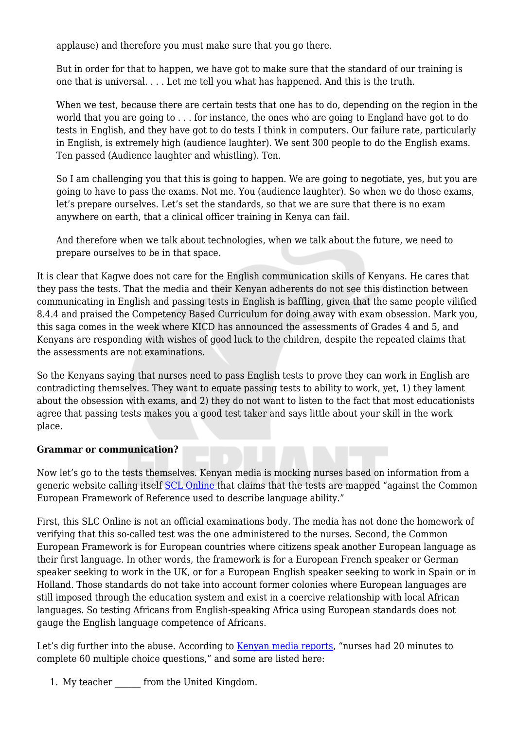applause) and therefore you must make sure that you go there.

But in order for that to happen, we have got to make sure that the standard of our training is one that is universal. . . . Let me tell you what has happened. And this is the truth.

When we test, because there are certain tests that one has to do, depending on the region in the world that you are going to . . . for instance, the ones who are going to England have got to do tests in English, and they have got to do tests I think in computers. Our failure rate, particularly in English, is extremely high (audience laughter). We sent 300 people to do the English exams. Ten passed (Audience laughter and whistling). Ten.

So I am challenging you that this is going to happen. We are going to negotiate, yes, but you are going to have to pass the exams. Not me. You (audience laughter). So when we do those exams, let's prepare ourselves. Let's set the standards, so that we are sure that there is no exam anywhere on earth, that a clinical officer training in Kenya can fail.

And therefore when we talk about technologies, when we talk about the future, we need to prepare ourselves to be in that space.

It is clear that Kagwe does not care for the English communication skills of Kenyans. He cares that they pass the tests. That the media and their Kenyan adherents do not see this distinction between communicating in English and passing tests in English is baffling, given that the same people vilified 8.4.4 and praised the Competency Based Curriculum for doing away with exam obsession. Mark you, this saga comes in the week where KICD has announced the assessments of Grades 4 and 5, and Kenyans are responding with wishes of good luck to the children, despite the repeated claims that the assessments are not examinations.

So the Kenyans saying that nurses need to pass English tests to prove they can work in English are contradicting themselves. They want to equate passing tests to ability to work, yet, 1) they lament about the obsession with exams, and 2) they do not want to listen to the fact that most educationists agree that passing tests makes you a good test taker and says little about your skill in the work place.

## **Grammar or communication?**

Now let's go to the tests themselves. Kenyan media is mocking nurses based on information from a generic website calling itself [SCL Online t](https://www.standardmedia.co.ke/health/amp/health-science/article/2001427447/questions-kenyan-nurses-failed-in-search-of-uk-jobs)hat claims that the tests are mapped "against the Common European Framework of Reference used to describe language ability."

First, this SLC Online is not an official examinations body. The media has not done the homework of verifying that this so-called test was the one administered to the nurses. Second, the Common European Framework is for European countries where citizens speak another European language as their first language. In other words, the framework is for a European French speaker or German speaker seeking to work in the UK, or for a European English speaker seeking to work in Spain or in Holland. Those standards do not take into account former colonies where European languages are still imposed through the education system and exist in a coercive relationship with local African languages. So testing Africans from English-speaking Africa using European standards does not gauge the English language competence of Africans.

Let's dig further into the abuse. According to [Kenyan media reports](https://www.standardmedia.co.ke/health/amp/health-science/article/2001427447/questions-kenyan-nurses-failed-in-search-of-uk-jobs), "nurses had 20 minutes to complete 60 multiple choice questions," and some are listed here:

1. My teacher from the United Kingdom.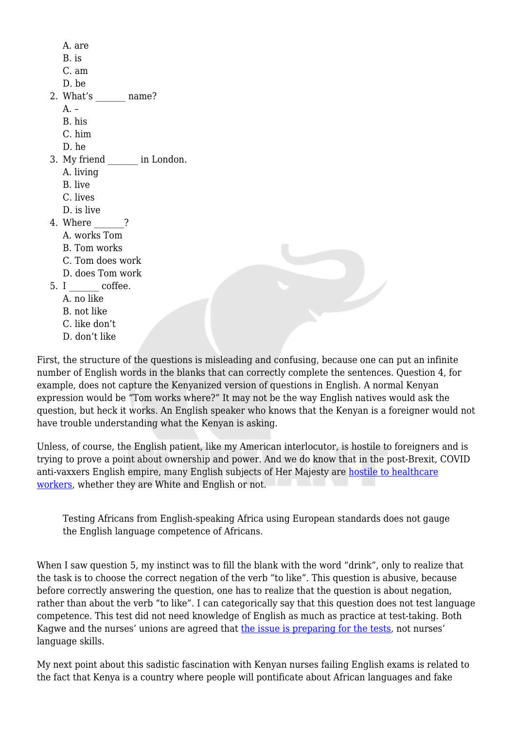A. are B. is C. am D. be 2. What's mame? A. – B. his C. him D. he 3. My friend in London. A. living B. live C. lives D. is live 4. Where ? A. works Tom B. Tom works C. Tom does work D. does Tom work 5. I coffee. A. no like B. not like C. like don't D. don't like

First, the structure of the questions is misleading and confusing, because one can put an infinite number of English words in the blanks that can correctly complete the sentences. Question 4, for example, does not capture the Kenyanized version of questions in English. A normal Kenyan expression would be "Tom works where?" It may not be the way English natives would ask the question, but heck it works. An English speaker who knows that the Kenyan is a foreigner would not have trouble understanding what the Kenyan is asking.

Unless, of course, the English patient, like my American interlocutor, is hostile to foreigners and is trying to prove a point about ownership and power. And we do know that in the post-Brexit, COVID anti-vaxxers English empire, many English subjects of Her Majesty are [hostile to healthcare](https://youtu.be/x1ysP4E2yR4) [workers](https://youtu.be/x1ysP4E2yR4), whether they are White and English or not.

Testing Africans from English-speaking Africa using European standards does not gauge the English language competence of Africans.

When I saw question 5, my instinct was to fill the blank with the word "drink", only to realize that the task is to choose the correct negation of the verb "to like". This question is abusive, because before correctly answering the question, one has to realize that the question is about negation, rather than about the verb "to like". I can categorically say that this question does not test language competence. This test did not need knowledge of English as much as practice at test-taking. Both Kagwe and the nurses' unions are agreed that [the issue is preparing for the tests](https://www.standardmedia.co.ke/national/article/2001427665/you-have-humiliated-us-in-public-nurses-tell-kagwe), not nurses' language skills.

My next point about this sadistic fascination with Kenyan nurses failing English exams is related to the fact that Kenya is a country where people will pontificate about African languages and fake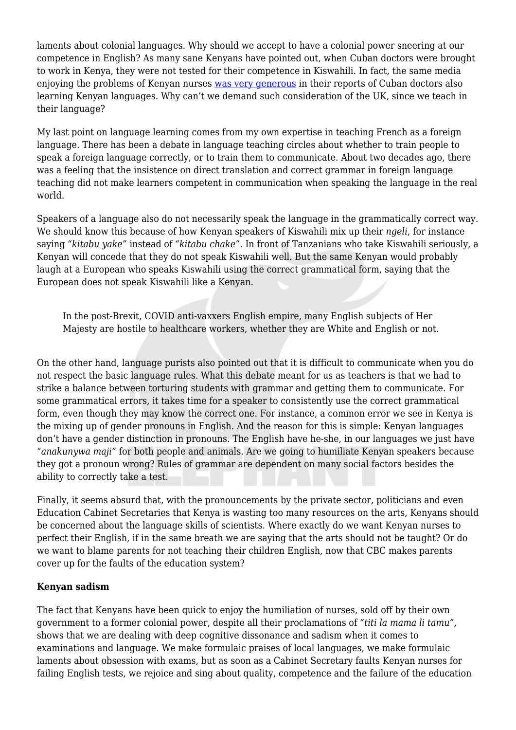laments about colonial languages. Why should we accept to have a colonial power sneering at our competence in English? As many sane Kenyans have pointed out, when Cuban doctors were brought to work in Kenya, they were not tested for their competence in Kiswahili. In fact, the same media enjoying the problems of Kenyan nurses [was very generous](https://www.capitalfm.co.ke/news/2018/07/cuban-doctors-determined-overcome-language-barriers-report-work/) in their reports of Cuban doctors also learning Kenyan languages. Why can't we demand such consideration of the UK, since we teach in their language?

My last point on language learning comes from my own expertise in teaching French as a foreign language. There has been a debate in language teaching circles about whether to train people to speak a foreign language correctly, or to train them to communicate. About two decades ago, there was a feeling that the insistence on direct translation and correct grammar in foreign language teaching did not make learners competent in communication when speaking the language in the real world.

Speakers of a language also do not necessarily speak the language in the grammatically correct way. We should know this because of how Kenyan speakers of Kiswahili mix up their *ngeli*, for instance saying *"kitabu yake"* instead of *"kitabu chake".* In front of Tanzanians who take Kiswahili seriously, a Kenyan will concede that they do not speak Kiswahili well. But the same Kenyan would probably laugh at a European who speaks Kiswahili using the correct grammatical form, saying that the European does not speak Kiswahili like a Kenyan.

In the post-Brexit, COVID anti-vaxxers English empire, many English subjects of Her Majesty are hostile to healthcare workers, whether they are White and English or not.

On the other hand, language purists also pointed out that it is difficult to communicate when you do not respect the basic language rules. What this debate meant for us as teachers is that we had to strike a balance between torturing students with grammar and getting them to communicate. For some grammatical errors, it takes time for a speaker to consistently use the correct grammatical form, even though they may know the correct one. For instance, a common error we see in Kenya is the mixing up of gender pronouns in English. And the reason for this is simple: Kenyan languages don't have a gender distinction in pronouns. The English have he-she, in our languages we just have "*anakunywa maji*" for both people and animals. Are we going to humiliate Kenyan speakers because they got a pronoun wrong? Rules of grammar are dependent on many social factors besides the ability to correctly take a test.

Finally, it seems absurd that, with the pronouncements by the private sector, politicians and even Education Cabinet Secretaries that Kenya is wasting too many resources on the arts, Kenyans should be concerned about the language skills of scientists. Where exactly do we want Kenyan nurses to perfect their English, if in the same breath we are saying that the arts should not be taught? Or do we want to blame parents for not teaching their children English, now that CBC makes parents cover up for the faults of the education system?

## **Kenyan sadism**

The fact that Kenyans have been quick to enjoy the humiliation of nurses, sold off by their own government to a former colonial power, despite all their proclamations of *"titi la mama li tamu",* shows that we are dealing with deep cognitive dissonance and sadism when it comes to examinations and language. We make formulaic praises of local languages, we make formulaic laments about obsession with exams, but as soon as a Cabinet Secretary faults Kenyan nurses for failing English tests, we rejoice and sing about quality, competence and the failure of the education